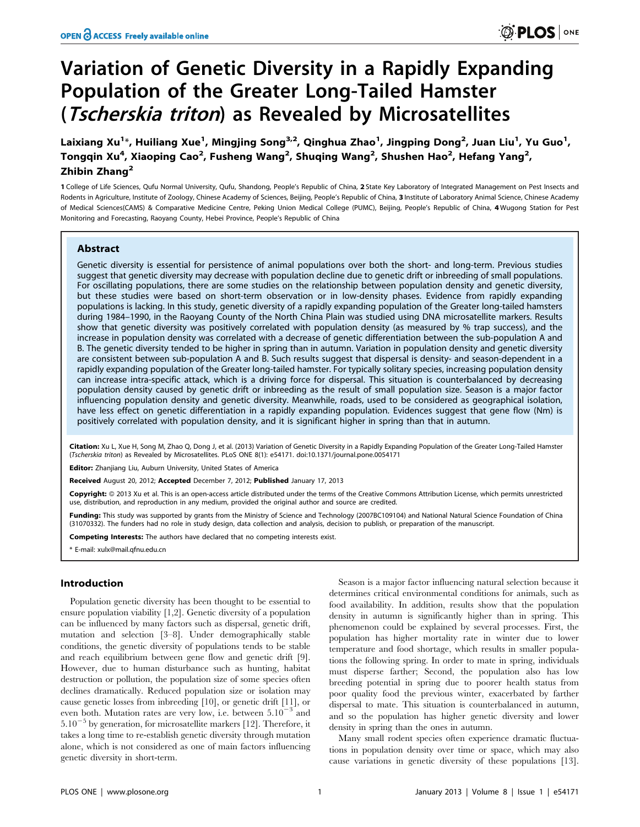# Variation of Genetic Diversity in a Rapidly Expanding Population of the Greater Long-Tailed Hamster (Tscherskia triton) as Revealed by Microsatellites

Laixiang Xu<sup>1</sup>\*, Huiliang Xue<sup>1</sup>, Mingjing Song<sup>3,2</sup>, Qinghua Zhao<sup>1</sup>, Jingping Dong<sup>2</sup>, Juan Liu<sup>1</sup>, Yu Guo<sup>1</sup>, Tongqin Xu<sup>4</sup>, Xiaoping Cao<sup>2</sup>, Fusheng Wang<sup>2</sup>, Shuqing Wang<sup>2</sup>, Shushen Hao<sup>2</sup>, Hefang Yang<sup>2</sup>, Zhibin Zhang<sup>2</sup>

1 College of Life Sciences, Qufu Normal University, Qufu, Shandong, People's Republic of China, 2 State Key Laboratory of Integrated Management on Pest Insects and Rodents in Agriculture, Institute of Zoology, Chinese Academy of Sciences, Beijing, People's Republic of China, 3 Institute of Laboratory Animal Science, Chinese Academy of Medical Sciences(CAMS) & Comparative Medicine Centre, Peking Union Medical College (PUMC), Beijing, People's Republic of China, 4 Wugong Station for Pest Monitoring and Forecasting, Raoyang County, Hebei Province, People's Republic of China

# Abstract

Genetic diversity is essential for persistence of animal populations over both the short- and long-term. Previous studies suggest that genetic diversity may decrease with population decline due to genetic drift or inbreeding of small populations. For oscillating populations, there are some studies on the relationship between population density and genetic diversity, but these studies were based on short-term observation or in low-density phases. Evidence from rapidly expanding populations is lacking. In this study, genetic diversity of a rapidly expanding population of the Greater long-tailed hamsters during 1984–1990, in the Raoyang County of the North China Plain was studied using DNA microsatellite markers. Results show that genetic diversity was positively correlated with population density (as measured by % trap success), and the increase in population density was correlated with a decrease of genetic differentiation between the sub-population A and B. The genetic diversity tended to be higher in spring than in autumn. Variation in population density and genetic diversity are consistent between sub-population A and B. Such results suggest that dispersal is density- and season-dependent in a rapidly expanding population of the Greater long-tailed hamster. For typically solitary species, increasing population density can increase intra-specific attack, which is a driving force for dispersal. This situation is counterbalanced by decreasing population density caused by genetic drift or inbreeding as the result of small population size. Season is a major factor influencing population density and genetic diversity. Meanwhile, roads, used to be considered as geographical isolation, have less effect on genetic differentiation in a rapidly expanding population. Evidences suggest that gene flow (Nm) is positively correlated with population density, and it is significant higher in spring than that in autumn.

Citation: Xu L, Xue H, Song M, Zhao Q, Dong J, et al. (2013) Variation of Genetic Diversity in a Rapidly Expanding Population of the Greater Long-Tailed Hamster (Tscherskia triton) as Revealed by Microsatellites. PLoS ONE 8(1): e54171. doi:10.1371/journal.pone.0054171

Editor: Zhanjiang Liu, Auburn University, United States of America

Received August 20, 2012; Accepted December 7, 2012; Published January 17, 2013

Copyright: © 2013 Xu et al. This is an open-access article distributed under the terms of the Creative Commons Attribution License, which permits unrestricted use, distribution, and reproduction in any medium, provided the original author and source are credited.

Funding: This study was supported by grants from the Ministry of Science and Technology (2007BC109104) and National Natural Science Foundation of China (31070332). The funders had no role in study design, data collection and analysis, decision to publish, or preparation of the manuscript.

Competing Interests: The authors have declared that no competing interests exist.

\* E-mail: xulx@mail.qfnu.edu.cn

# Introduction

Population genetic diversity has been thought to be essential to ensure population viability [1,2]. Genetic diversity of a population can be influenced by many factors such as dispersal, genetic drift, mutation and selection [3–8]. Under demographically stable conditions, the genetic diversity of populations tends to be stable and reach equilibrium between gene flow and genetic drift [9]. However, due to human disturbance such as hunting, habitat destruction or pollution, the population size of some species often declines dramatically. Reduced population size or isolation may cause genetic losses from inbreeding [10], or genetic drift [11], or even both. Mutation rates are very low, i.e. between  $5.10^{-3}$  and  $5.10^{-5}$  by generation, for microsatellite markers [12]. Therefore, it takes a long time to re-establish genetic diversity through mutation alone, which is not considered as one of main factors influencing genetic diversity in short-term.

Season is a major factor influencing natural selection because it determines critical environmental conditions for animals, such as food availability. In addition, results show that the population density in autumn is significantly higher than in spring. This phenomenon could be explained by several processes. First, the population has higher mortality rate in winter due to lower temperature and food shortage, which results in smaller populations the following spring. In order to mate in spring, individuals must disperse farther; Second, the population also has low breeding potential in spring due to poorer health status from poor quality food the previous winter, exacerbated by farther dispersal to mate. This situation is counterbalanced in autumn, and so the population has higher genetic diversity and lower density in spring than the ones in autumn.

Many small rodent species often experience dramatic fluctuations in population density over time or space, which may also cause variations in genetic diversity of these populations [13].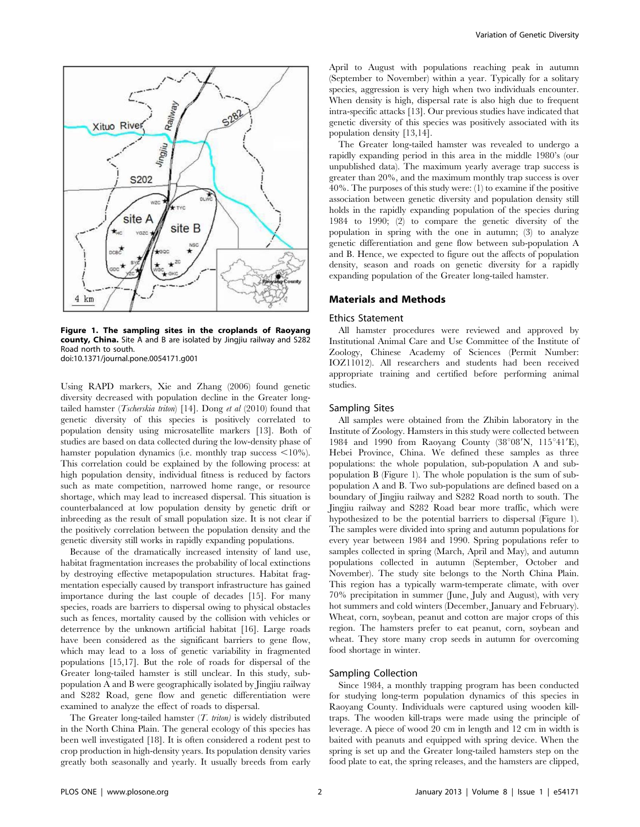

Figure 1. The sampling sites in the croplands of Raoyang county, China. Site A and B are isolated by Jingjiu railway and S282 Road north to south. doi:10.1371/journal.pone.0054171.g001

Using RAPD markers, Xie and Zhang (2006) found genetic diversity decreased with population decline in the Greater longtailed hamster (*Tscherskia triton*) [14]. Dong et al  $(2010)$  found that genetic diversity of this species is positively correlated to population density using microsatellite markers [13]. Both of studies are based on data collected during the low-density phase of hamster population dynamics (i.e. monthly trap success  $\leq 10\%$ ). This correlation could be explained by the following process: at high population density, individual fitness is reduced by factors such as mate competition, narrowed home range, or resource shortage, which may lead to increased dispersal. This situation is counterbalanced at low population density by genetic drift or inbreeding as the result of small population size. It is not clear if the positively correlation between the population density and the genetic diversity still works in rapidly expanding populations.

Because of the dramatically increased intensity of land use, habitat fragmentation increases the probability of local extinctions by destroying effective metapopulation structures. Habitat fragmentation especially caused by transport infrastructure has gained importance during the last couple of decades [15]. For many species, roads are barriers to dispersal owing to physical obstacles such as fences, mortality caused by the collision with vehicles or deterrence by the unknown artificial habitat [16]. Large roads have been considered as the significant barriers to gene flow, which may lead to a loss of genetic variability in fragmented populations [15,17]. But the role of roads for dispersal of the Greater long-tailed hamster is still unclear. In this study, subpopulation A and B were geographically isolated by Jingjiu railway and S282 Road, gene flow and genetic differentiation were examined to analyze the effect of roads to dispersal.

The Greater long-tailed hamster  $(T. triton)$  is widely distributed in the North China Plain. The general ecology of this species has been well investigated [18]. It is often considered a rodent pest to crop production in high-density years. Its population density varies greatly both seasonally and yearly. It usually breeds from early April to August with populations reaching peak in autumn (September to November) within a year. Typically for a solitary species, aggression is very high when two individuals encounter. When density is high, dispersal rate is also high due to frequent intra-specific attacks [13]. Our previous studies have indicated that genetic diversity of this species was positively associated with its population density [13,14].

The Greater long-tailed hamster was revealed to undergo a rapidly expanding period in this area in the middle 1980's (our unpublished data). The maximum yearly average trap success is greater than 20%, and the maximum monthly trap success is over 40%. The purposes of this study were: (1) to examine if the positive association between genetic diversity and population density still holds in the rapidly expanding population of the species during 1984 to 1990; (2) to compare the genetic diversity of the population in spring with the one in autumn; (3) to analyze genetic differentiation and gene flow between sub-population A and B. Hence, we expected to figure out the affects of population density, season and roads on genetic diversity for a rapidly expanding population of the Greater long-tailed hamster.

# Materials and Methods

### Ethics Statement

All hamster procedures were reviewed and approved by Institutional Animal Care and Use Committee of the Institute of Zoology, Chinese Academy of Sciences (Permit Number: IOZ11012). All researchers and students had been received appropriate training and certified before performing animal studies.

### Sampling Sites

All samples were obtained from the Zhibin laboratory in the Institute of Zoology. Hamsters in this study were collected between 1984 and 1990 from Raoyang County (38°08'N, 115°41'E), Hebei Province, China. We defined these samples as three populations: the whole population, sub-population A and subpopulation B (Figure 1). The whole population is the sum of subpopulation A and B. Two sub-populations are defined based on a boundary of Jingjiu railway and S282 Road north to south. The Jingjiu railway and S282 Road bear more traffic, which were hypothesized to be the potential barriers to dispersal (Figure 1). The samples were divided into spring and autumn populations for every year between 1984 and 1990. Spring populations refer to samples collected in spring (March, April and May), and autumn populations collected in autumn (September, October and November). The study site belongs to the North China Plain. This region has a typically warm-temperate climate, with over 70% precipitation in summer (June, July and August), with very hot summers and cold winters (December, January and February). Wheat, corn, soybean, peanut and cotton are major crops of this region. The hamsters prefer to eat peanut, corn, soybean and wheat. They store many crop seeds in autumn for overcoming food shortage in winter.

# Sampling Collection

Since 1984, a monthly trapping program has been conducted for studying long-term population dynamics of this species in Raoyang County. Individuals were captured using wooden killtraps. The wooden kill-traps were made using the principle of leverage. A piece of wood 20 cm in length and 12 cm in width is baited with peanuts and equipped with spring device. When the spring is set up and the Greater long-tailed hamsters step on the food plate to eat, the spring releases, and the hamsters are clipped,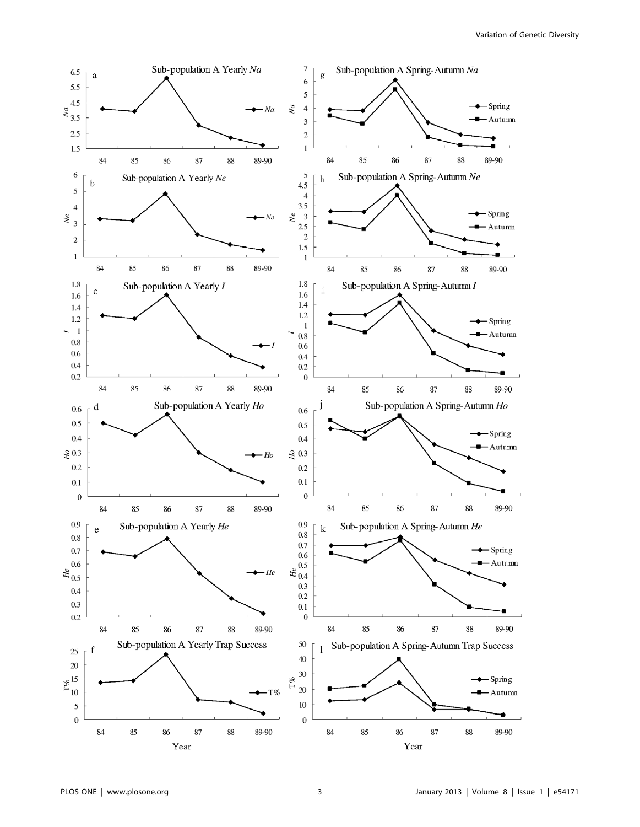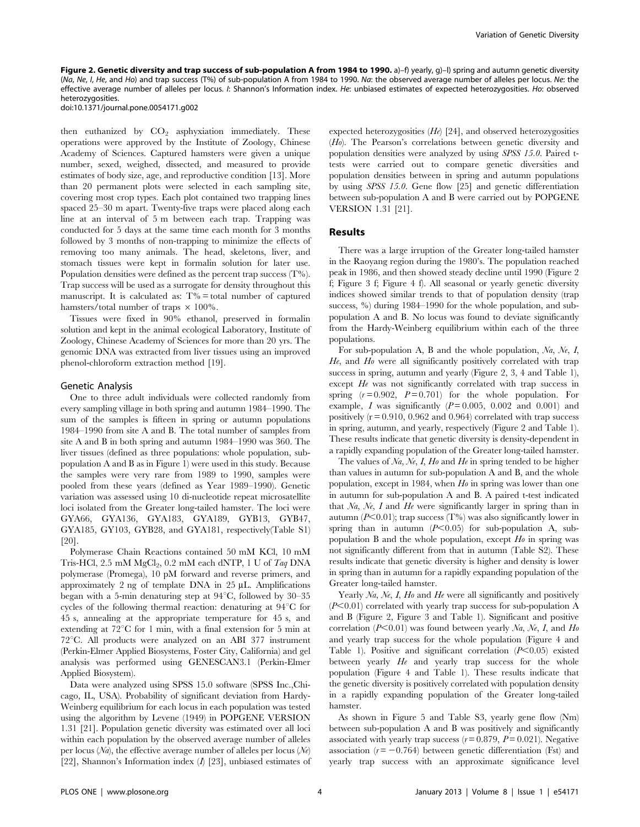Figure 2. Genetic diversity and trap success of sub-population A from 1984 to 1990. a)-f) yearly, g)-l) spring and autumn genetic diversity (Na, Ne, I, He, and Ho) and trap success (T%) of sub-population A from 1984 to 1990. Na: the observed average number of alleles per locus. Ne: the effective average number of alleles per locus. I: Shannon's Information index. He: unbiased estimates of expected heterozygosities. Ho: observed heterozygosities.

doi:10.1371/journal.pone.0054171.g002

then euthanized by  $CO<sub>2</sub>$  asphyxiation immediately. These operations were approved by the Institute of Zoology, Chinese Academy of Sciences. Captured hamsters were given a unique number, sexed, weighed, dissected, and measured to provide estimates of body size, age, and reproductive condition [13]. More than 20 permanent plots were selected in each sampling site, covering most crop types. Each plot contained two trapping lines spaced 25–30 m apart. Twenty-five traps were placed along each line at an interval of 5 m between each trap. Trapping was conducted for 5 days at the same time each month for 3 months followed by 3 months of non-trapping to minimize the effects of removing too many animals. The head, skeletons, liver, and stomach tissues were kept in formalin solution for later use. Population densities were defined as the percent trap success  $(T\%)$ . Trap success will be used as a surrogate for density throughout this manuscript. It is calculated as: T% = total number of captured hamsters/total number of traps  $\times$  100%.

Tissues were fixed in 90% ethanol, preserved in formalin solution and kept in the animal ecological Laboratory, Institute of Zoology, Chinese Academy of Sciences for more than 20 yrs. The genomic DNA was extracted from liver tissues using an improved phenol-chloroform extraction method [19].

#### Genetic Analysis

One to three adult individuals were collected randomly from every sampling village in both spring and autumn 1984–1990. The sum of the samples is fifteen in spring or autumn populations 1984–1990 from site A and B. The total number of samples from site A and B in both spring and autumn 1984–1990 was 360. The liver tissues (defined as three populations: whole population, subpopulation A and B as in Figure 1) were used in this study. Because the samples were very rare from 1989 to 1990, samples were pooled from these years (defined as Year 1989–1990). Genetic variation was assessed using 10 di-nucleotide repeat microsatellite loci isolated from the Greater long-tailed hamster. The loci were GYA66, GYA136, GYA183, GYA189, GYB13, GYB47, GYA185, GY103, GYB28, and GYA181, respectively(Table S1) [20].

Polymerase Chain Reactions contained 50 mM KCl, 10 mM Tris-HCl, 2.5 mM MgCl<sub>2</sub>, 0.2 mM each dNTP, 1 U of  $Tag$  DNA polymerase (Promega), 10 pM forward and reverse primers, and approximately 2 ng of template DNA in  $25 \mu L$ . Amplifications began with a 5-min denaturing step at  $94^{\circ}$ C, followed by  $30-35$ cycles of the following thermal reaction: denaturing at  $94^{\circ}$ C for 45 s, annealing at the appropriate temperature for 45 s, and extending at  $72^{\circ}$ C for 1 min, with a final extension for 5 min at 72°C. All products were analyzed on an ABI 377 instrument (Perkin-Elmer Applied Biosystems, Foster City, California) and gel analysis was performed using GENESCAN3.1 (Perkin-Elmer Applied Biosystem).

Data were analyzed using SPSS 15.0 software (SPSS Inc.,Chicago, IL, USA). Probability of significant deviation from Hardy-Weinberg equilibrium for each locus in each population was tested using the algorithm by Levene (1949) in POPGENE VERSION 1.31 [21]. Population genetic diversity was estimated over all loci within each population by the observed average number of alleles per locus  $(Na)$ , the effective average number of alleles per locus  $(Ne)$ [22], Shannon's Information index  $(I)$  [23], unbiased estimates of expected heterozygosities  $(H_e)$  [24], and observed heterozygosities (Ho). The Pearson's correlations between genetic diversity and population densities were analyzed by using SPSS 15.0. Paired ttests were carried out to compare genetic diversities and population densities between in spring and autumn populations by using SPSS 15.0. Gene flow [25] and genetic differentiation between sub-population A and B were carried out by POPGENE VERSION 1.31 [21].

# Results

There was a large irruption of the Greater long-tailed hamster in the Raoyang region during the 1980's. The population reached peak in 1986, and then showed steady decline until 1990 (Figure 2 f; Figure 3 f; Figure 4 f). All seasonal or yearly genetic diversity indices showed similar trends to that of population density (trap success, %) during 1984–1990 for the whole population, and subpopulation A and B. No locus was found to deviate significantly from the Hardy-Weinberg equilibrium within each of the three populations.

For sub-population A, B and the whole population,  $\mathcal{N}_a$ ,  $\mathcal{N}_e$ ,  $I$ , He, and Ho were all significantly positively correlated with trap success in spring, autumn and yearly (Figure 2, 3, 4 and Table 1), except He was not significantly correlated with trap success in spring  $(r=0.902, P=0.701)$  for the whole population. For example,  $I$  was significantly  $(P=0.005, 0.002, 0.001)$  and positively  $(r = 0.910, 0.962, and 0.964)$  correlated with trap success in spring, autumn, and yearly, respectively (Figure 2 and Table 1). These results indicate that genetic diversity is density-dependent in a rapidly expanding population of the Greater long-tailed hamster.

The values of  $Na$ ,  $Ne$ ,  $I$ ,  $Ho$  and  $He$  in spring tended to be higher than values in autumn for sub-population A and B, and the whole population, except in 1984, when Ho in spring was lower than one in autumn for sub-population A and B. A paired t-test indicated that  $\mathcal{N}_a$ ,  $\mathcal{N}_e$ ,  $I$  and  $H_e$  were significantly larger in spring than in autumn ( $P<0.01$ ); trap success (T%) was also significantly lower in spring than in autumn  $(P<0.05)$  for sub-population A, subpopulation B and the whole population, except  $H_0$  in spring was not significantly different from that in autumn (Table S2). These results indicate that genetic diversity is higher and density is lower in spring than in autumn for a rapidly expanding population of the Greater long-tailed hamster.

Yearly  $Na$ ,  $Ne$ ,  $I$ ,  $Ho$  and  $He$  were all significantly and positively  $(P<0.01)$  correlated with yearly trap success for sub-population A and B (Figure 2, Figure 3 and Table 1). Significant and positive correlation ( $P<0.01$ ) was found between yearly Na, Ne, I, and Ho and yearly trap success for the whole population (Figure 4 and Table 1). Positive and significant correlation  $(P<0.05)$  existed between yearly  $He$  and yearly trap success for the whole population (Figure 4 and Table 1). These results indicate that the genetic diversity is positively correlated with population density in a rapidly expanding population of the Greater long-tailed hamster.

As shown in Figure 5 and Table S3, yearly gene flow (Nm) between sub-population A and B was positively and significantly associated with yearly trap success  $(r= 0.879, P = 0.021)$ . Negative association ( $r = -0.764$ ) between genetic differentiation (Fst) and yearly trap success with an approximate significance level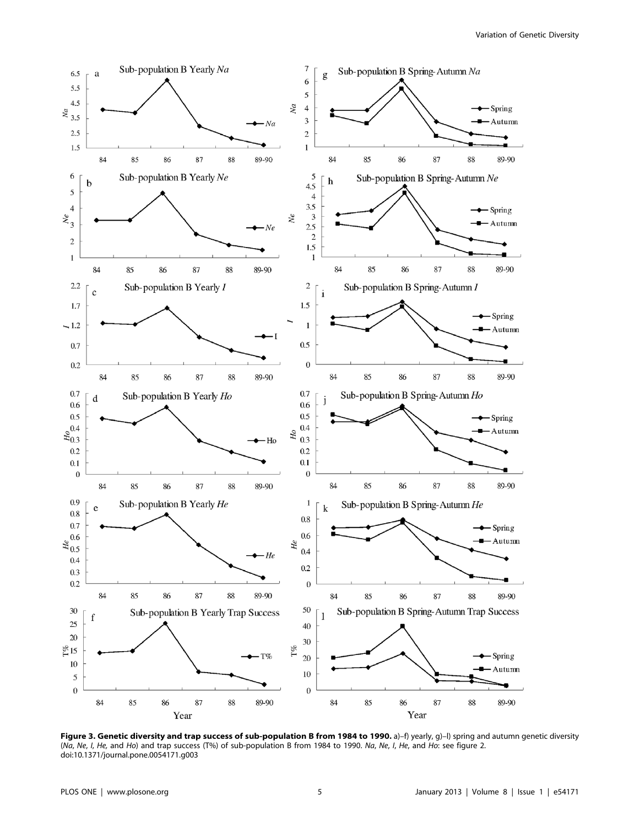

Figure 3. Genetic diversity and trap success of sub-population B from 1984 to 1990. a)-f) yearly, g)-l) spring and autumn genetic diversity (Na, Ne, I, He, and Ho) and trap success (T%) of sub-population B from 1984 to 1990. Na, Ne, I, He, and Ho: see figure 2. doi:10.1371/journal.pone.0054171.g003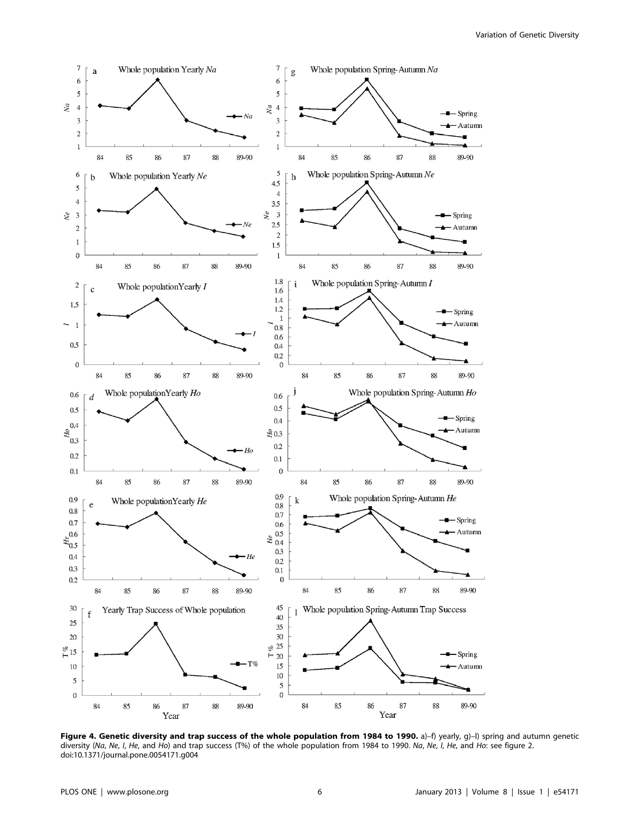

Figure 4. Genetic diversity and trap success of the whole population from 1984 to 1990. a)-f) yearly, g)-I) spring and autumn genetic diversity (Na, Ne, I, He, and Ho) and trap success (T%) of the whole population from 1984 to 1990. Na, Ne, I, He, and Ho: see figure 2. doi:10.1371/journal.pone.0054171.g004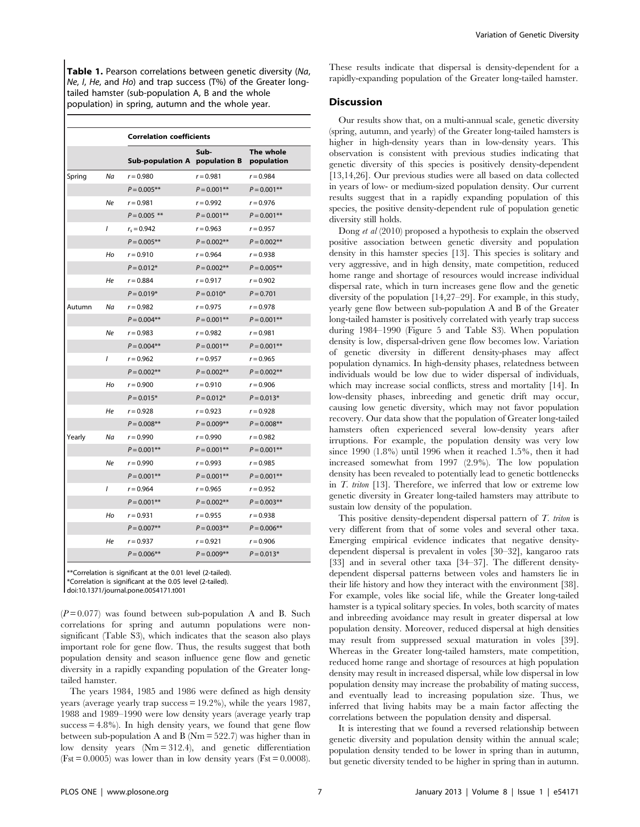Table 1. Pearson correlations between genetic diversity (Na, Ne, I, He, and Ho) and trap success (T%) of the Greater longtailed hamster (sub-population A, B and the whole population) in spring, autumn and the whole year.

|        |    | <b>Correlation coefficients</b> |                |                         |
|--------|----|---------------------------------|----------------|-------------------------|
|        |    | Sub-population A population B   | Sub-           | The whole<br>population |
| Spring | Na | $r = 0.980$                     | $r = 0.981$    | $r = 0.984$             |
|        |    | $P = 0.005$ **                  | $P = 0.001$ ** | $P = 0.001$ **          |
|        | Ne | $r = 0.981$                     | r = 0.992      | $r = 0.976$             |
|        |    | $P = 0.005$ **                  | $P = 0.001$ ** | $P = 0.001$ **          |
|        | I  | $r_s = 0.942$                   | $r = 0.963$    | $r = 0.957$             |
|        |    | $P = 0.005$ **                  | $P = 0.002$ ** | $P = 0.002$ **          |
|        | Ho | $r = 0.910$                     | $r = 0.964$    | $r = 0.938$             |
|        |    | $P = 0.012*$                    | $P = 0.002$ ** | $P = 0.005$ **          |
|        | Нe | $r = 0.884$                     | $r = 0.917$    | $r = 0.902$             |
|        |    | $P = 0.019*$                    | $P = 0.010*$   | $P = 0.701$             |
| Autumn | Na | $r = 0.982$                     | $r = 0.975$    | $r = 0.978$             |
|        |    | $P = 0.004$ **                  | $P = 0.001$ ** | $P = 0.001$ **          |
|        | Ne | $r = 0.983$                     | $r = 0.982$    | $r = 0.981$             |
|        |    | $P = 0.004$ **                  | $P = 0.001$ ** | $P = 0.001$ **          |
|        | I  | $r = 0.962$                     | $r = 0.957$    | $r = 0.965$             |
|        |    | $P = 0.002$ **                  | $P = 0.002$ ** | $P = 0.002$ **          |
|        | Ho | $r = 0.900$                     | $r = 0.910$    | $r = 0.906$             |
|        |    | $P = 0.015*$                    | $P = 0.012*$   | $P = 0.013*$            |
|        | Нe | $r = 0.928$                     | $r = 0.923$    | $r = 0.928$             |
|        |    | $P = 0.008**$                   | $P = 0.009$ ** | $P = 0.008**$           |
| Yearly | Na | $r = 0.990$                     | $r = 0.990$    | $r = 0.982$             |
|        |    | $P = 0.001$ **                  | $P = 0.001$ ** | $P = 0.001$ **          |
|        | Ne | $r = 0.990$                     | $r = 0.993$    | $r = 0.985$             |
|        |    | $P = 0.001$ **                  | $P = 0.001$ ** | $P = 0.001$ **          |
|        | I  | $r = 0.964$                     | $r = 0.965$    | $r = 0.952$             |
|        |    | $P = 0.001$ **                  | $P = 0.002$ ** | $P = 0.003$ **          |
|        | Ho | $r = 0.931$                     | $r = 0.955$    | $r = 0.938$             |
|        |    | $P = 0.007**$                   | $P = 0.003$ ** | $P = 0.006$ **          |
|        | Нe | $r = 0.937$                     | $r = 0.921$    | $r = 0.906$             |
|        |    | $P = 0.006$ **                  | $P = 0.009**$  | $P = 0.013*$            |

\*\*Correlation is significant at the 0.01 level (2-tailed).

\*Correlation is significant at the 0.05 level (2-tailed).

doi:10.1371/journal.pone.0054171.t001

 $(P=0.077)$  was found between sub-population A and B. Such correlations for spring and autumn populations were nonsignificant (Table S3), which indicates that the season also plays important role for gene flow. Thus, the results suggest that both population density and season influence gene flow and genetic diversity in a rapidly expanding population of the Greater longtailed hamster.

The years 1984, 1985 and 1986 were defined as high density years (average yearly trap success = 19.2%), while the years 1987, 1988 and 1989–1990 were low density years (average yearly trap  $success = 4.8\%$ . In high density years, we found that gene flow between sub-population A and B (Nm = 522.7) was higher than in low density years (Nm = 312.4), and genetic differentiation  $(Fst = 0.0005)$  was lower than in low density years  $(Fst = 0.0008)$ .

These results indicate that dispersal is density-dependent for a rapidly-expanding population of the Greater long-tailed hamster.

# **Discussion**

Our results show that, on a multi-annual scale, genetic diversity (spring, autumn, and yearly) of the Greater long-tailed hamsters is higher in high-density years than in low-density years. This observation is consistent with previous studies indicating that genetic diversity of this species is positively density-dependent [13,14,26]. Our previous studies were all based on data collected in years of low- or medium-sized population density. Our current results suggest that in a rapidly expanding population of this species, the positive density-dependent rule of population genetic diversity still holds.

Dong et al (2010) proposed a hypothesis to explain the observed positive association between genetic diversity and population density in this hamster species [13]. This species is solitary and very aggressive, and in high density, mate competition, reduced home range and shortage of resources would increase individual dispersal rate, which in turn increases gene flow and the genetic diversity of the population [14,27–29]. For example, in this study, yearly gene flow between sub-population A and B of the Greater long-tailed hamster is positively correlated with yearly trap success during 1984–1990 (Figure 5 and Table S3). When population density is low, dispersal-driven gene flow becomes low. Variation of genetic diversity in different density-phases may affect population dynamics. In high-density phases, relatedness between individuals would be low due to wider dispersal of individuals, which may increase social conflicts, stress and mortality [14]. In low-density phases, inbreeding and genetic drift may occur, causing low genetic diversity, which may not favor population recovery. Our data show that the population of Greater long-tailed hamsters often experienced several low-density years after irruptions. For example, the population density was very low since 1990 (1.8%) until 1996 when it reached 1.5%, then it had increased somewhat from 1997 (2.9%). The low population density has been revealed to potentially lead to genetic bottlenecks in T. triton [13]. Therefore, we inferred that low or extreme low genetic diversity in Greater long-tailed hamsters may attribute to sustain low density of the population.

This positive density-dependent dispersal pattern of T. triton is very different from that of some voles and several other taxa. Emerging empirical evidence indicates that negative densitydependent dispersal is prevalent in voles [30–32], kangaroo rats [33] and in several other taxa [34–37]. The different densitydependent dispersal patterns between voles and hamsters lie in their life history and how they interact with the environment [38]. For example, voles like social life, while the Greater long-tailed hamster is a typical solitary species. In voles, both scarcity of mates and inbreeding avoidance may result in greater dispersal at low population density. Moreover, reduced dispersal at high densities may result from suppressed sexual maturation in voles [39]. Whereas in the Greater long-tailed hamsters, mate competition, reduced home range and shortage of resources at high population density may result in increased dispersal, while low dispersal in low population density may increase the probability of mating success, and eventually lead to increasing population size. Thus, we inferred that living habits may be a main factor affecting the correlations between the population density and dispersal.

It is interesting that we found a reversed relationship between genetic diversity and population density within the annual scale; population density tended to be lower in spring than in autumn, but genetic diversity tended to be higher in spring than in autumn.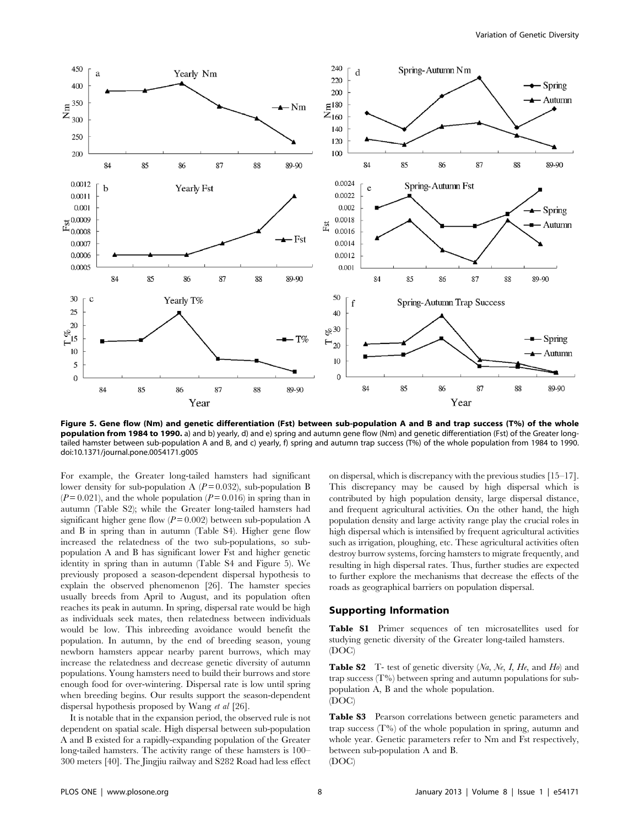

Figure 5. Gene flow (Nm) and genetic differentiation (Fst) between sub-population A and B and trap success (T%) of the whole population from 1984 to 1990. a) and b) yearly, d) and e) spring and autumn gene flow (Nm) and genetic differentiation (Fst) of the Greater longtailed hamster between sub-population A and B, and c) yearly, f) spring and autumn trap success (T%) of the whole population from 1984 to 1990. doi:10.1371/journal.pone.0054171.g005

For example, the Greater long-tailed hamsters had significant lower density for sub-population A  $(P=0.032)$ , sub-population B  $(P=0.021)$ , and the whole population  $(P=0.016)$  in spring than in autumn (Table S2); while the Greater long-tailed hamsters had significant higher gene flow  $(P = 0.002)$  between sub-population A and B in spring than in autumn (Table S4). Higher gene flow increased the relatedness of the two sub-populations, so subpopulation A and B has significant lower Fst and higher genetic identity in spring than in autumn (Table S4 and Figure 5). We previously proposed a season-dependent dispersal hypothesis to explain the observed phenomenon [26]. The hamster species usually breeds from April to August, and its population often reaches its peak in autumn. In spring, dispersal rate would be high as individuals seek mates, then relatedness between individuals would be low. This inbreeding avoidance would benefit the population. In autumn, by the end of breeding season, young newborn hamsters appear nearby parent burrows, which may increase the relatedness and decrease genetic diversity of autumn populations. Young hamsters need to build their burrows and store enough food for over-wintering. Dispersal rate is low until spring when breeding begins. Our results support the season-dependent dispersal hypothesis proposed by Wang et al [26].

It is notable that in the expansion period, the observed rule is not dependent on spatial scale. High dispersal between sub-population A and B existed for a rapidly-expanding population of the Greater long-tailed hamsters. The activity range of these hamsters is 100– 300 meters [40]. The Jingjiu railway and S282 Road had less effect on dispersal, which is discrepancy with the previous studies [15–17]. This discrepancy may be caused by high dispersal which is contributed by high population density, large dispersal distance, and frequent agricultural activities. On the other hand, the high population density and large activity range play the crucial roles in high dispersal which is intensified by frequent agricultural activities such as irrigation, ploughing, etc. These agricultural activities often destroy burrow systems, forcing hamsters to migrate frequently, and resulting in high dispersal rates. Thus, further studies are expected to further explore the mechanisms that decrease the effects of the roads as geographical barriers on population dispersal.

# Supporting Information

Table S1 Primer sequences of ten microsatellites used for studying genetic diversity of the Greater long-tailed hamsters. (DOC)

**Table S2** T- test of genetic diversity  $(Na, Ne, I, He, \text{ and } Ho)$  and trap success  $(T\%)$  between spring and autumn populations for subpopulation A, B and the whole population. (DOC)

Table S3 Pearson correlations between genetic parameters and trap success  $(T\%)$  of the whole population in spring, autumn and whole year. Genetic parameters refer to Nm and Fst respectively, between sub-population A and B. (DOC)